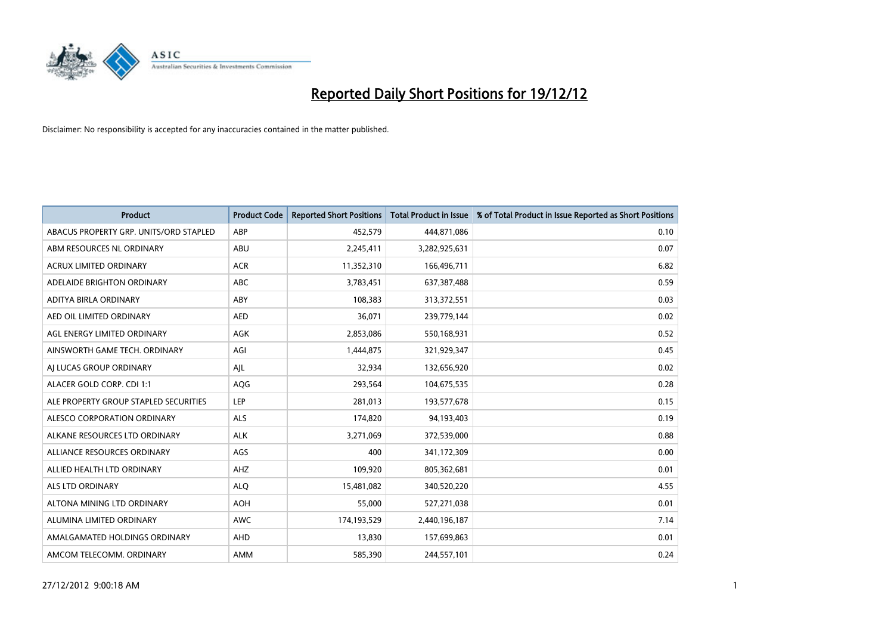

| <b>Product</b>                         | <b>Product Code</b> | <b>Reported Short Positions</b> | <b>Total Product in Issue</b> | % of Total Product in Issue Reported as Short Positions |
|----------------------------------------|---------------------|---------------------------------|-------------------------------|---------------------------------------------------------|
| ABACUS PROPERTY GRP. UNITS/ORD STAPLED | ABP                 | 452,579                         | 444,871,086                   | 0.10                                                    |
| ABM RESOURCES NL ORDINARY              | ABU                 | 2,245,411                       | 3,282,925,631                 | 0.07                                                    |
| <b>ACRUX LIMITED ORDINARY</b>          | <b>ACR</b>          | 11,352,310                      | 166,496,711                   | 6.82                                                    |
| ADELAIDE BRIGHTON ORDINARY             | <b>ABC</b>          | 3,783,451                       | 637, 387, 488                 | 0.59                                                    |
| ADITYA BIRLA ORDINARY                  | ABY                 | 108,383                         | 313,372,551                   | 0.03                                                    |
| AED OIL LIMITED ORDINARY               | <b>AED</b>          | 36,071                          | 239,779,144                   | 0.02                                                    |
| AGL ENERGY LIMITED ORDINARY            | <b>AGK</b>          | 2,853,086                       | 550,168,931                   | 0.52                                                    |
| AINSWORTH GAME TECH. ORDINARY          | AGI                 | 1,444,875                       | 321,929,347                   | 0.45                                                    |
| AI LUCAS GROUP ORDINARY                | AJL                 | 32,934                          | 132,656,920                   | 0.02                                                    |
| ALACER GOLD CORP. CDI 1:1              | AQG                 | 293,564                         | 104,675,535                   | 0.28                                                    |
| ALE PROPERTY GROUP STAPLED SECURITIES  | LEP                 | 281,013                         | 193,577,678                   | 0.15                                                    |
| ALESCO CORPORATION ORDINARY            | <b>ALS</b>          | 174,820                         | 94,193,403                    | 0.19                                                    |
| ALKANE RESOURCES LTD ORDINARY          | <b>ALK</b>          | 3,271,069                       | 372,539,000                   | 0.88                                                    |
| ALLIANCE RESOURCES ORDINARY            | AGS                 | 400                             | 341,172,309                   | 0.00                                                    |
| ALLIED HEALTH LTD ORDINARY             | <b>AHZ</b>          | 109,920                         | 805,362,681                   | 0.01                                                    |
| ALS LTD ORDINARY                       | <b>ALO</b>          | 15,481,082                      | 340,520,220                   | 4.55                                                    |
| ALTONA MINING LTD ORDINARY             | <b>AOH</b>          | 55,000                          | 527,271,038                   | 0.01                                                    |
| ALUMINA LIMITED ORDINARY               | <b>AWC</b>          | 174,193,529                     | 2,440,196,187                 | 7.14                                                    |
| AMALGAMATED HOLDINGS ORDINARY          | <b>AHD</b>          | 13,830                          | 157,699,863                   | 0.01                                                    |
| AMCOM TELECOMM, ORDINARY               | <b>AMM</b>          | 585,390                         | 244,557,101                   | 0.24                                                    |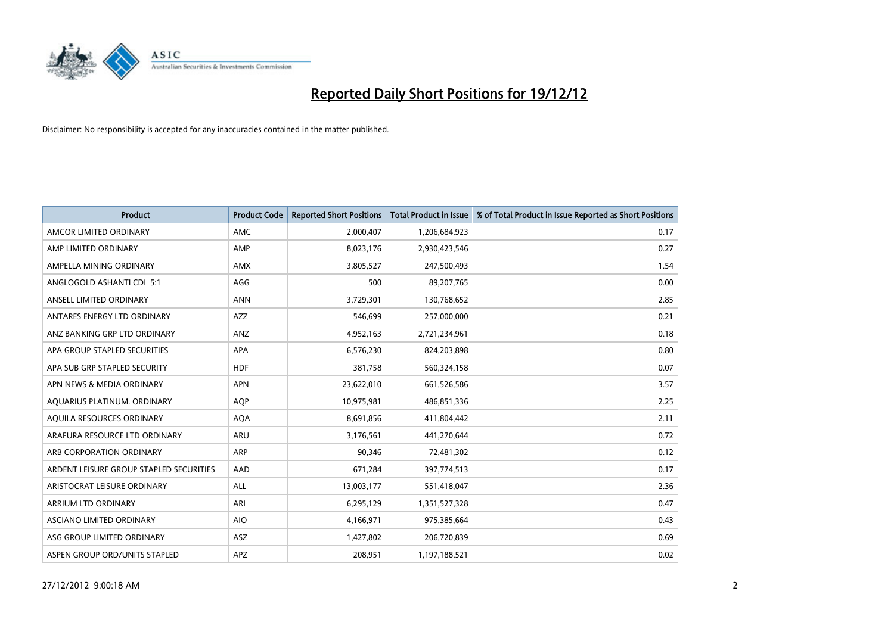

| <b>Product</b>                          | <b>Product Code</b> | <b>Reported Short Positions</b> | <b>Total Product in Issue</b> | % of Total Product in Issue Reported as Short Positions |
|-----------------------------------------|---------------------|---------------------------------|-------------------------------|---------------------------------------------------------|
| AMCOR LIMITED ORDINARY                  | <b>AMC</b>          | 2,000,407                       | 1,206,684,923                 | 0.17                                                    |
| AMP LIMITED ORDINARY                    | AMP                 | 8,023,176                       | 2,930,423,546                 | 0.27                                                    |
| AMPELLA MINING ORDINARY                 | <b>AMX</b>          | 3,805,527                       | 247,500,493                   | 1.54                                                    |
| ANGLOGOLD ASHANTI CDI 5:1               | AGG                 | 500                             | 89,207,765                    | 0.00                                                    |
| ANSELL LIMITED ORDINARY                 | <b>ANN</b>          | 3,729,301                       | 130,768,652                   | 2.85                                                    |
| ANTARES ENERGY LTD ORDINARY             | <b>AZZ</b>          | 546,699                         | 257,000,000                   | 0.21                                                    |
| ANZ BANKING GRP LTD ORDINARY            | ANZ                 | 4,952,163                       | 2,721,234,961                 | 0.18                                                    |
| APA GROUP STAPLED SECURITIES            | <b>APA</b>          | 6,576,230                       | 824,203,898                   | 0.80                                                    |
| APA SUB GRP STAPLED SECURITY            | <b>HDF</b>          | 381,758                         | 560,324,158                   | 0.07                                                    |
| APN NEWS & MEDIA ORDINARY               | <b>APN</b>          | 23,622,010                      | 661,526,586                   | 3.57                                                    |
| AQUARIUS PLATINUM. ORDINARY             | <b>AOP</b>          | 10,975,981                      | 486,851,336                   | 2.25                                                    |
| AQUILA RESOURCES ORDINARY               | <b>AQA</b>          | 8,691,856                       | 411,804,442                   | 2.11                                                    |
| ARAFURA RESOURCE LTD ORDINARY           | ARU                 | 3,176,561                       | 441,270,644                   | 0.72                                                    |
| ARB CORPORATION ORDINARY                | <b>ARP</b>          | 90,346                          | 72,481,302                    | 0.12                                                    |
| ARDENT LEISURE GROUP STAPLED SECURITIES | AAD                 | 671,284                         | 397,774,513                   | 0.17                                                    |
| ARISTOCRAT LEISURE ORDINARY             | ALL                 | 13,003,177                      | 551,418,047                   | 2.36                                                    |
| ARRIUM LTD ORDINARY                     | ARI                 | 6,295,129                       | 1,351,527,328                 | 0.47                                                    |
| ASCIANO LIMITED ORDINARY                | <b>AIO</b>          | 4,166,971                       | 975,385,664                   | 0.43                                                    |
| ASG GROUP LIMITED ORDINARY              | <b>ASZ</b>          | 1,427,802                       | 206,720,839                   | 0.69                                                    |
| ASPEN GROUP ORD/UNITS STAPLED           | <b>APZ</b>          | 208.951                         | 1,197,188,521                 | 0.02                                                    |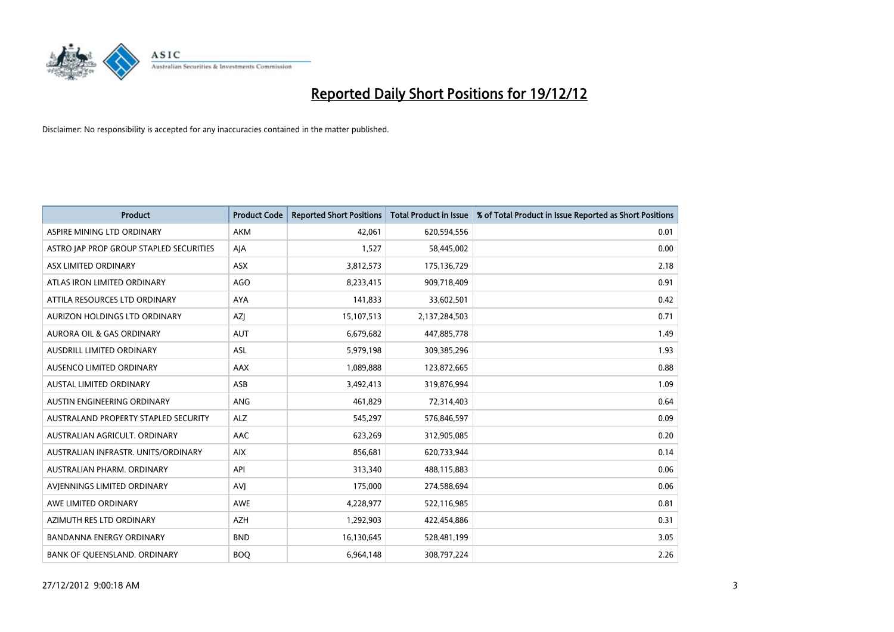

| <b>Product</b>                          | <b>Product Code</b> | <b>Reported Short Positions</b> | <b>Total Product in Issue</b> | % of Total Product in Issue Reported as Short Positions |
|-----------------------------------------|---------------------|---------------------------------|-------------------------------|---------------------------------------------------------|
| ASPIRE MINING LTD ORDINARY              | <b>AKM</b>          | 42,061                          | 620,594,556                   | 0.01                                                    |
| ASTRO JAP PROP GROUP STAPLED SECURITIES | AJA                 | 1,527                           | 58,445,002                    | 0.00                                                    |
| ASX LIMITED ORDINARY                    | <b>ASX</b>          | 3,812,573                       | 175,136,729                   | 2.18                                                    |
| ATLAS IRON LIMITED ORDINARY             | AGO                 | 8,233,415                       | 909,718,409                   | 0.91                                                    |
| ATTILA RESOURCES LTD ORDINARY           | <b>AYA</b>          | 141,833                         | 33,602,501                    | 0.42                                                    |
| AURIZON HOLDINGS LTD ORDINARY           | <b>AZI</b>          | 15,107,513                      | 2,137,284,503                 | 0.71                                                    |
| AURORA OIL & GAS ORDINARY               | <b>AUT</b>          | 6,679,682                       | 447,885,778                   | 1.49                                                    |
| AUSDRILL LIMITED ORDINARY               | ASL                 | 5,979,198                       | 309,385,296                   | 1.93                                                    |
| AUSENCO LIMITED ORDINARY                | AAX                 | 1,089,888                       | 123,872,665                   | 0.88                                                    |
| <b>AUSTAL LIMITED ORDINARY</b>          | ASB                 | 3,492,413                       | 319,876,994                   | 1.09                                                    |
| AUSTIN ENGINEERING ORDINARY             | ANG                 | 461,829                         | 72,314,403                    | 0.64                                                    |
| AUSTRALAND PROPERTY STAPLED SECURITY    | <b>ALZ</b>          | 545,297                         | 576,846,597                   | 0.09                                                    |
| AUSTRALIAN AGRICULT. ORDINARY           | AAC                 | 623,269                         | 312,905,085                   | 0.20                                                    |
| AUSTRALIAN INFRASTR. UNITS/ORDINARY     | <b>AIX</b>          | 856,681                         | 620,733,944                   | 0.14                                                    |
| AUSTRALIAN PHARM, ORDINARY              | API                 | 313,340                         | 488,115,883                   | 0.06                                                    |
| AVIENNINGS LIMITED ORDINARY             | <b>AVI</b>          | 175,000                         | 274,588,694                   | 0.06                                                    |
| AWE LIMITED ORDINARY                    | AWE                 | 4,228,977                       | 522,116,985                   | 0.81                                                    |
| AZIMUTH RES LTD ORDINARY                | <b>AZH</b>          | 1,292,903                       | 422,454,886                   | 0.31                                                    |
| <b>BANDANNA ENERGY ORDINARY</b>         | <b>BND</b>          | 16,130,645                      | 528,481,199                   | 3.05                                                    |
| BANK OF QUEENSLAND. ORDINARY            | <b>BOQ</b>          | 6,964,148                       | 308,797,224                   | 2.26                                                    |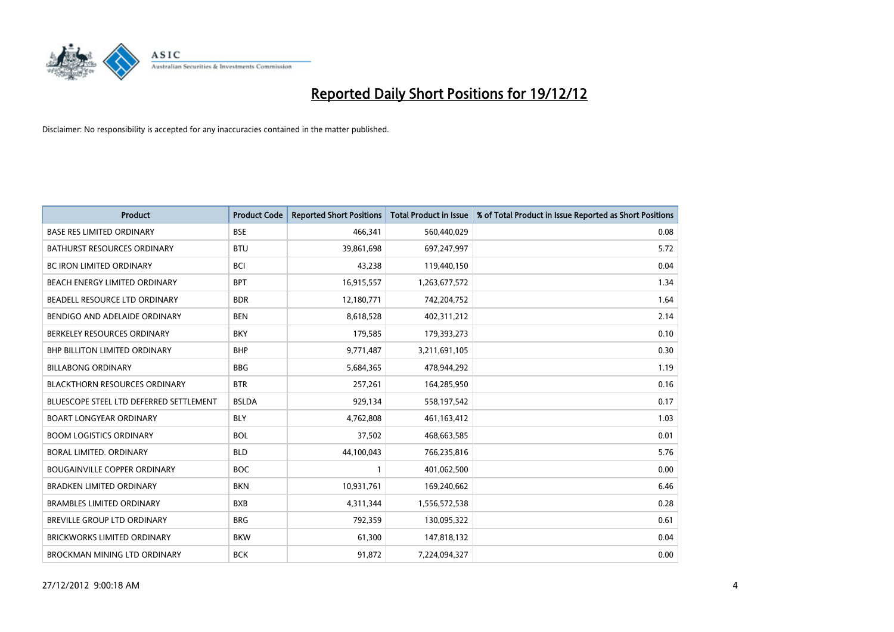

| <b>Product</b>                          | <b>Product Code</b> | <b>Reported Short Positions</b> | <b>Total Product in Issue</b> | % of Total Product in Issue Reported as Short Positions |
|-----------------------------------------|---------------------|---------------------------------|-------------------------------|---------------------------------------------------------|
| <b>BASE RES LIMITED ORDINARY</b>        | <b>BSE</b>          | 466,341                         | 560,440,029                   | 0.08                                                    |
| <b>BATHURST RESOURCES ORDINARY</b>      | <b>BTU</b>          | 39,861,698                      | 697,247,997                   | 5.72                                                    |
| <b>BC IRON LIMITED ORDINARY</b>         | <b>BCI</b>          | 43,238                          | 119,440,150                   | 0.04                                                    |
| BEACH ENERGY LIMITED ORDINARY           | <b>BPT</b>          | 16,915,557                      | 1,263,677,572                 | 1.34                                                    |
| BEADELL RESOURCE LTD ORDINARY           | <b>BDR</b>          | 12,180,771                      | 742,204,752                   | 1.64                                                    |
| BENDIGO AND ADELAIDE ORDINARY           | <b>BEN</b>          | 8,618,528                       | 402,311,212                   | 2.14                                                    |
| BERKELEY RESOURCES ORDINARY             | <b>BKY</b>          | 179,585                         | 179,393,273                   | 0.10                                                    |
| <b>BHP BILLITON LIMITED ORDINARY</b>    | <b>BHP</b>          | 9,771,487                       | 3,211,691,105                 | 0.30                                                    |
| <b>BILLABONG ORDINARY</b>               | <b>BBG</b>          | 5,684,365                       | 478,944,292                   | 1.19                                                    |
| <b>BLACKTHORN RESOURCES ORDINARY</b>    | <b>BTR</b>          | 257,261                         | 164,285,950                   | 0.16                                                    |
| BLUESCOPE STEEL LTD DEFERRED SETTLEMENT | <b>BSLDA</b>        | 929,134                         | 558,197,542                   | 0.17                                                    |
| <b>BOART LONGYEAR ORDINARY</b>          | <b>BLY</b>          | 4,762,808                       | 461,163,412                   | 1.03                                                    |
| <b>BOOM LOGISTICS ORDINARY</b>          | <b>BOL</b>          | 37,502                          | 468,663,585                   | 0.01                                                    |
| BORAL LIMITED, ORDINARY                 | <b>BLD</b>          | 44,100,043                      | 766,235,816                   | 5.76                                                    |
| <b>BOUGAINVILLE COPPER ORDINARY</b>     | <b>BOC</b>          |                                 | 401,062,500                   | 0.00                                                    |
| <b>BRADKEN LIMITED ORDINARY</b>         | <b>BKN</b>          | 10,931,761                      | 169,240,662                   | 6.46                                                    |
| <b>BRAMBLES LIMITED ORDINARY</b>        | <b>BXB</b>          | 4,311,344                       | 1,556,572,538                 | 0.28                                                    |
| BREVILLE GROUP LTD ORDINARY             | <b>BRG</b>          | 792,359                         | 130,095,322                   | 0.61                                                    |
| <b>BRICKWORKS LIMITED ORDINARY</b>      | <b>BKW</b>          | 61,300                          | 147,818,132                   | 0.04                                                    |
| BROCKMAN MINING LTD ORDINARY            | <b>BCK</b>          | 91,872                          | 7,224,094,327                 | 0.00                                                    |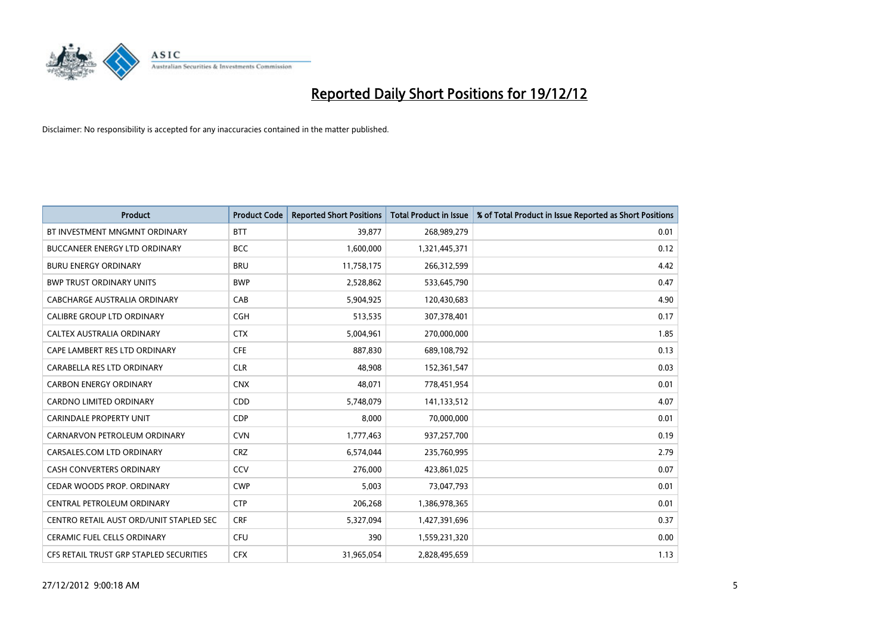

| <b>Product</b>                          | <b>Product Code</b> | <b>Reported Short Positions</b> | <b>Total Product in Issue</b> | % of Total Product in Issue Reported as Short Positions |
|-----------------------------------------|---------------------|---------------------------------|-------------------------------|---------------------------------------------------------|
| BT INVESTMENT MNGMNT ORDINARY           | <b>BTT</b>          | 39,877                          | 268,989,279                   | 0.01                                                    |
| BUCCANEER ENERGY LTD ORDINARY           | <b>BCC</b>          | 1,600,000                       | 1,321,445,371                 | 0.12                                                    |
| <b>BURU ENERGY ORDINARY</b>             | <b>BRU</b>          | 11,758,175                      | 266,312,599                   | 4.42                                                    |
| <b>BWP TRUST ORDINARY UNITS</b>         | <b>BWP</b>          | 2,528,862                       | 533,645,790                   | 0.47                                                    |
| CABCHARGE AUSTRALIA ORDINARY            | CAB                 | 5,904,925                       | 120,430,683                   | 4.90                                                    |
| <b>CALIBRE GROUP LTD ORDINARY</b>       | <b>CGH</b>          | 513,535                         | 307,378,401                   | 0.17                                                    |
| CALTEX AUSTRALIA ORDINARY               | <b>CTX</b>          | 5,004,961                       | 270,000,000                   | 1.85                                                    |
| CAPE LAMBERT RES LTD ORDINARY           | <b>CFE</b>          | 887,830                         | 689,108,792                   | 0.13                                                    |
| CARABELLA RES LTD ORDINARY              | <b>CLR</b>          | 48,908                          | 152,361,547                   | 0.03                                                    |
| <b>CARBON ENERGY ORDINARY</b>           | <b>CNX</b>          | 48,071                          | 778,451,954                   | 0.01                                                    |
| <b>CARDNO LIMITED ORDINARY</b>          | CDD                 | 5,748,079                       | 141,133,512                   | 4.07                                                    |
| <b>CARINDALE PROPERTY UNIT</b>          | <b>CDP</b>          | 8.000                           | 70,000,000                    | 0.01                                                    |
| CARNARVON PETROLEUM ORDINARY            | <b>CVN</b>          | 1,777,463                       | 937,257,700                   | 0.19                                                    |
| CARSALES.COM LTD ORDINARY               | <b>CRZ</b>          | 6,574,044                       | 235,760,995                   | 2.79                                                    |
| <b>CASH CONVERTERS ORDINARY</b>         | CCV                 | 276,000                         | 423,861,025                   | 0.07                                                    |
| CEDAR WOODS PROP. ORDINARY              | <b>CWP</b>          | 5,003                           | 73,047,793                    | 0.01                                                    |
| CENTRAL PETROLEUM ORDINARY              | <b>CTP</b>          | 206,268                         | 1,386,978,365                 | 0.01                                                    |
| CENTRO RETAIL AUST ORD/UNIT STAPLED SEC | <b>CRF</b>          | 5,327,094                       | 1,427,391,696                 | 0.37                                                    |
| <b>CERAMIC FUEL CELLS ORDINARY</b>      | <b>CFU</b>          | 390                             | 1,559,231,320                 | 0.00                                                    |
| CFS RETAIL TRUST GRP STAPLED SECURITIES | <b>CFX</b>          | 31,965,054                      | 2,828,495,659                 | 1.13                                                    |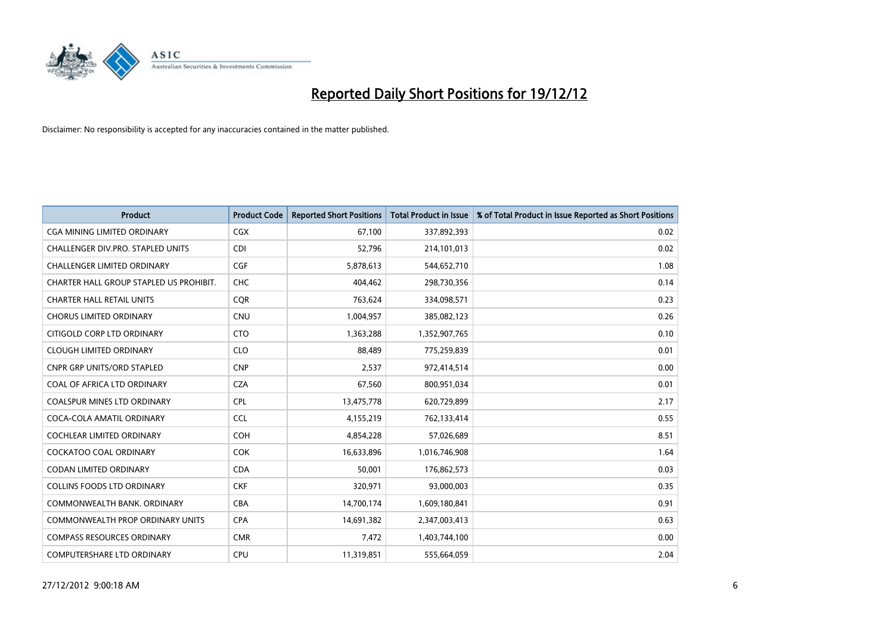

| <b>Product</b>                          | <b>Product Code</b> | <b>Reported Short Positions</b> | <b>Total Product in Issue</b> | % of Total Product in Issue Reported as Short Positions |
|-----------------------------------------|---------------------|---------------------------------|-------------------------------|---------------------------------------------------------|
| <b>CGA MINING LIMITED ORDINARY</b>      | <b>CGX</b>          | 67,100                          | 337,892,393                   | 0.02                                                    |
| CHALLENGER DIV.PRO. STAPLED UNITS       | <b>CDI</b>          | 52,796                          | 214,101,013                   | 0.02                                                    |
| <b>CHALLENGER LIMITED ORDINARY</b>      | <b>CGF</b>          | 5,878,613                       | 544,652,710                   | 1.08                                                    |
| CHARTER HALL GROUP STAPLED US PROHIBIT. | <b>CHC</b>          | 404,462                         | 298,730,356                   | 0.14                                                    |
| <b>CHARTER HALL RETAIL UNITS</b>        | <b>COR</b>          | 763,624                         | 334,098,571                   | 0.23                                                    |
| <b>CHORUS LIMITED ORDINARY</b>          | CNU                 | 1,004,957                       | 385,082,123                   | 0.26                                                    |
| CITIGOLD CORP LTD ORDINARY              | <b>CTO</b>          | 1,363,288                       | 1,352,907,765                 | 0.10                                                    |
| <b>CLOUGH LIMITED ORDINARY</b>          | <b>CLO</b>          | 88,489                          | 775,259,839                   | 0.01                                                    |
| <b>CNPR GRP UNITS/ORD STAPLED</b>       | <b>CNP</b>          | 2,537                           | 972,414,514                   | 0.00                                                    |
| COAL OF AFRICA LTD ORDINARY             | <b>CZA</b>          | 67,560                          | 800,951,034                   | 0.01                                                    |
| COALSPUR MINES LTD ORDINARY             | <b>CPL</b>          | 13,475,778                      | 620,729,899                   | 2.17                                                    |
| COCA-COLA AMATIL ORDINARY               | <b>CCL</b>          | 4,155,219                       | 762,133,414                   | 0.55                                                    |
| COCHLEAR LIMITED ORDINARY               | <b>COH</b>          | 4,854,228                       | 57,026,689                    | 8.51                                                    |
| <b>COCKATOO COAL ORDINARY</b>           | <b>COK</b>          | 16,633,896                      | 1,016,746,908                 | 1.64                                                    |
| <b>CODAN LIMITED ORDINARY</b>           | <b>CDA</b>          | 50,001                          | 176,862,573                   | 0.03                                                    |
| <b>COLLINS FOODS LTD ORDINARY</b>       | <b>CKF</b>          | 320,971                         | 93,000,003                    | 0.35                                                    |
| COMMONWEALTH BANK, ORDINARY             | <b>CBA</b>          | 14,700,174                      | 1,609,180,841                 | 0.91                                                    |
| <b>COMMONWEALTH PROP ORDINARY UNITS</b> | <b>CPA</b>          | 14,691,382                      | 2,347,003,413                 | 0.63                                                    |
| <b>COMPASS RESOURCES ORDINARY</b>       | <b>CMR</b>          | 7,472                           | 1,403,744,100                 | 0.00                                                    |
| COMPUTERSHARE LTD ORDINARY              | <b>CPU</b>          | 11,319,851                      | 555,664,059                   | 2.04                                                    |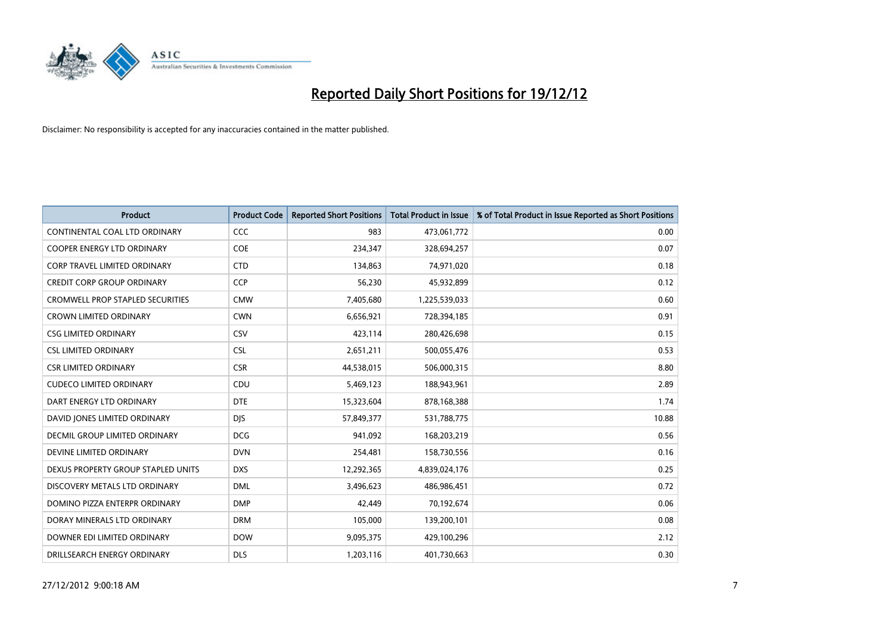

| <b>Product</b>                          | <b>Product Code</b> | <b>Reported Short Positions</b> | Total Product in Issue | % of Total Product in Issue Reported as Short Positions |
|-----------------------------------------|---------------------|---------------------------------|------------------------|---------------------------------------------------------|
| CONTINENTAL COAL LTD ORDINARY           | <b>CCC</b>          | 983                             | 473,061,772            | 0.00                                                    |
| COOPER ENERGY LTD ORDINARY              | <b>COE</b>          | 234,347                         | 328,694,257            | 0.07                                                    |
| <b>CORP TRAVEL LIMITED ORDINARY</b>     | <b>CTD</b>          | 134,863                         | 74,971,020             | 0.18                                                    |
| <b>CREDIT CORP GROUP ORDINARY</b>       | <b>CCP</b>          | 56,230                          | 45,932,899             | 0.12                                                    |
| <b>CROMWELL PROP STAPLED SECURITIES</b> | <b>CMW</b>          | 7,405,680                       | 1,225,539,033          | 0.60                                                    |
| <b>CROWN LIMITED ORDINARY</b>           | <b>CWN</b>          | 6,656,921                       | 728,394,185            | 0.91                                                    |
| <b>CSG LIMITED ORDINARY</b>             | CSV                 | 423,114                         | 280,426,698            | 0.15                                                    |
| <b>CSL LIMITED ORDINARY</b>             | <b>CSL</b>          | 2,651,211                       | 500,055,476            | 0.53                                                    |
| <b>CSR LIMITED ORDINARY</b>             | <b>CSR</b>          | 44,538,015                      | 506,000,315            | 8.80                                                    |
| <b>CUDECO LIMITED ORDINARY</b>          | CDU                 | 5,469,123                       | 188,943,961            | 2.89                                                    |
| DART ENERGY LTD ORDINARY                | <b>DTE</b>          | 15,323,604                      | 878,168,388            | 1.74                                                    |
| DAVID JONES LIMITED ORDINARY            | <b>DJS</b>          | 57,849,377                      | 531,788,775            | 10.88                                                   |
| DECMIL GROUP LIMITED ORDINARY           | <b>DCG</b>          | 941,092                         | 168,203,219            | 0.56                                                    |
| DEVINE LIMITED ORDINARY                 | <b>DVN</b>          | 254,481                         | 158,730,556            | 0.16                                                    |
| DEXUS PROPERTY GROUP STAPLED UNITS      | <b>DXS</b>          | 12,292,365                      | 4,839,024,176          | 0.25                                                    |
| DISCOVERY METALS LTD ORDINARY           | <b>DML</b>          | 3,496,623                       | 486,986,451            | 0.72                                                    |
| DOMINO PIZZA ENTERPR ORDINARY           | <b>DMP</b>          | 42,449                          | 70,192,674             | 0.06                                                    |
| DORAY MINERALS LTD ORDINARY             | <b>DRM</b>          | 105,000                         | 139,200,101            | 0.08                                                    |
| DOWNER EDI LIMITED ORDINARY             | <b>DOW</b>          | 9,095,375                       | 429,100,296            | 2.12                                                    |
| DRILLSEARCH ENERGY ORDINARY             | <b>DLS</b>          | 1,203,116                       | 401,730,663            | 0.30                                                    |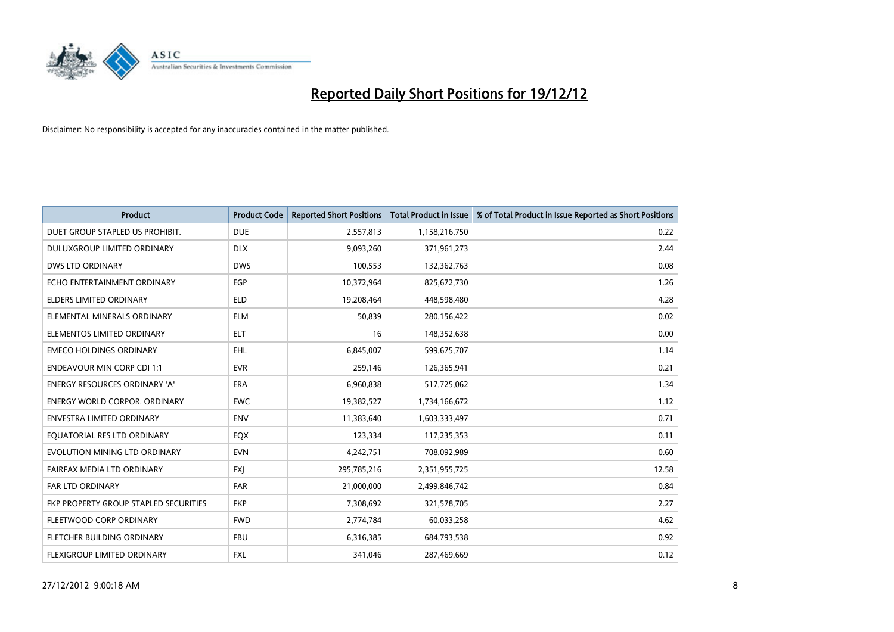

| <b>Product</b>                        | <b>Product Code</b> | <b>Reported Short Positions</b> | <b>Total Product in Issue</b> | % of Total Product in Issue Reported as Short Positions |
|---------------------------------------|---------------------|---------------------------------|-------------------------------|---------------------------------------------------------|
| DUET GROUP STAPLED US PROHIBIT.       | <b>DUE</b>          | 2,557,813                       | 1,158,216,750                 | 0.22                                                    |
| DULUXGROUP LIMITED ORDINARY           | <b>DLX</b>          | 9,093,260                       | 371,961,273                   | 2.44                                                    |
| <b>DWS LTD ORDINARY</b>               | <b>DWS</b>          | 100,553                         | 132,362,763                   | 0.08                                                    |
| ECHO ENTERTAINMENT ORDINARY           | <b>EGP</b>          | 10,372,964                      | 825,672,730                   | 1.26                                                    |
| <b>ELDERS LIMITED ORDINARY</b>        | <b>ELD</b>          | 19,208,464                      | 448,598,480                   | 4.28                                                    |
| ELEMENTAL MINERALS ORDINARY           | <b>ELM</b>          | 50,839                          | 280,156,422                   | 0.02                                                    |
| ELEMENTOS LIMITED ORDINARY            | <b>ELT</b>          | 16                              | 148,352,638                   | 0.00                                                    |
| <b>EMECO HOLDINGS ORDINARY</b>        | <b>EHL</b>          | 6,845,007                       | 599,675,707                   | 1.14                                                    |
| <b>ENDEAVOUR MIN CORP CDI 1:1</b>     | <b>EVR</b>          | 259,146                         | 126,365,941                   | 0.21                                                    |
| <b>ENERGY RESOURCES ORDINARY 'A'</b>  | <b>ERA</b>          | 6,960,838                       | 517,725,062                   | 1.34                                                    |
| <b>ENERGY WORLD CORPOR, ORDINARY</b>  | <b>EWC</b>          | 19,382,527                      | 1,734,166,672                 | 1.12                                                    |
| <b>ENVESTRA LIMITED ORDINARY</b>      | <b>ENV</b>          | 11,383,640                      | 1,603,333,497                 | 0.71                                                    |
| EQUATORIAL RES LTD ORDINARY           | <b>EQX</b>          | 123,334                         | 117,235,353                   | 0.11                                                    |
| EVOLUTION MINING LTD ORDINARY         | <b>EVN</b>          | 4,242,751                       | 708,092,989                   | 0.60                                                    |
| FAIRFAX MEDIA LTD ORDINARY            | <b>FXI</b>          | 295,785,216                     | 2,351,955,725                 | 12.58                                                   |
| <b>FAR LTD ORDINARY</b>               | <b>FAR</b>          | 21,000,000                      | 2,499,846,742                 | 0.84                                                    |
| FKP PROPERTY GROUP STAPLED SECURITIES | <b>FKP</b>          | 7,308,692                       | 321,578,705                   | 2.27                                                    |
| FLEETWOOD CORP ORDINARY               | <b>FWD</b>          | 2,774,784                       | 60,033,258                    | 4.62                                                    |
| FLETCHER BUILDING ORDINARY            | <b>FBU</b>          | 6,316,385                       | 684,793,538                   | 0.92                                                    |
| <b>FLEXIGROUP LIMITED ORDINARY</b>    | <b>FXL</b>          | 341.046                         | 287,469,669                   | 0.12                                                    |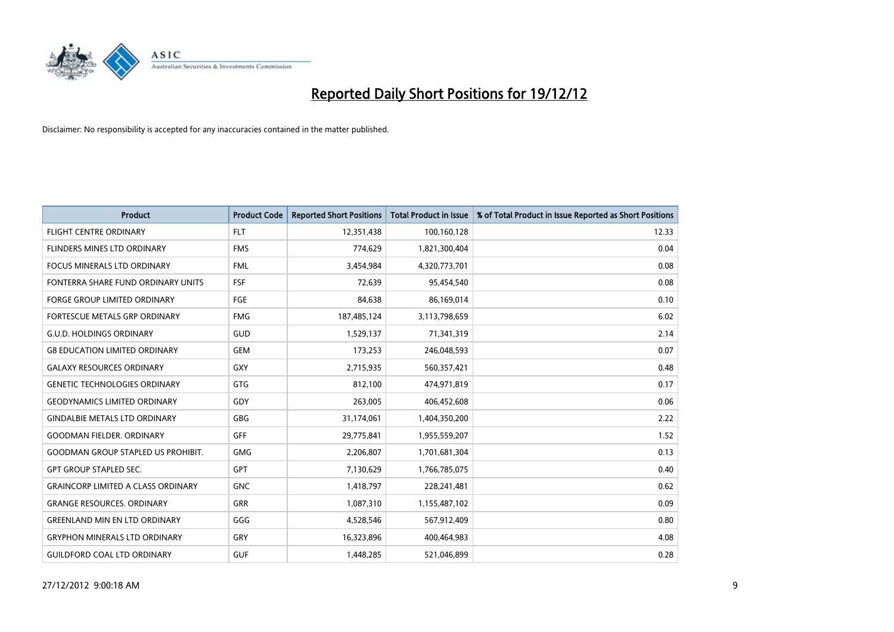

| <b>Product</b>                            | <b>Product Code</b> | <b>Reported Short Positions</b> | <b>Total Product in Issue</b> | % of Total Product in Issue Reported as Short Positions |
|-------------------------------------------|---------------------|---------------------------------|-------------------------------|---------------------------------------------------------|
| <b>FLIGHT CENTRE ORDINARY</b>             | <b>FLT</b>          | 12,351,438                      | 100,160,128                   | 12.33                                                   |
| FLINDERS MINES LTD ORDINARY               | <b>FMS</b>          | 774,629                         | 1,821,300,404                 | 0.04                                                    |
| <b>FOCUS MINERALS LTD ORDINARY</b>        | <b>FML</b>          | 3,454,984                       | 4,320,773,701                 | 0.08                                                    |
| FONTERRA SHARE FUND ORDINARY UNITS        | <b>FSF</b>          | 72,639                          | 95,454,540                    | 0.08                                                    |
| <b>FORGE GROUP LIMITED ORDINARY</b>       | FGE                 | 84,638                          | 86,169,014                    | 0.10                                                    |
| FORTESCUE METALS GRP ORDINARY             | <b>FMG</b>          | 187,485,124                     | 3,113,798,659                 | 6.02                                                    |
| <b>G.U.D. HOLDINGS ORDINARY</b>           | GUD                 | 1,529,137                       | 71,341,319                    | 2.14                                                    |
| <b>G8 EDUCATION LIMITED ORDINARY</b>      | <b>GEM</b>          | 173,253                         | 246,048,593                   | 0.07                                                    |
| <b>GALAXY RESOURCES ORDINARY</b>          | <b>GXY</b>          | 2,715,935                       | 560,357,421                   | 0.48                                                    |
| <b>GENETIC TECHNOLOGIES ORDINARY</b>      | <b>GTG</b>          | 812,100                         | 474,971,819                   | 0.17                                                    |
| <b>GEODYNAMICS LIMITED ORDINARY</b>       | GDY                 | 263,005                         | 406,452,608                   | 0.06                                                    |
| <b>GINDALBIE METALS LTD ORDINARY</b>      | <b>GBG</b>          | 31,174,061                      | 1,404,350,200                 | 2.22                                                    |
| <b>GOODMAN FIELDER, ORDINARY</b>          | GFF                 | 29,775,841                      | 1,955,559,207                 | 1.52                                                    |
| <b>GOODMAN GROUP STAPLED US PROHIBIT.</b> | <b>GMG</b>          | 2,206,807                       | 1,701,681,304                 | 0.13                                                    |
| <b>GPT GROUP STAPLED SEC.</b>             | <b>GPT</b>          | 7,130,629                       | 1,766,785,075                 | 0.40                                                    |
| <b>GRAINCORP LIMITED A CLASS ORDINARY</b> | <b>GNC</b>          | 1,418,797                       | 228,241,481                   | 0.62                                                    |
| <b>GRANGE RESOURCES, ORDINARY</b>         | <b>GRR</b>          | 1,087,310                       | 1,155,487,102                 | 0.09                                                    |
| <b>GREENLAND MIN EN LTD ORDINARY</b>      | GGG                 | 4,528,546                       | 567,912,409                   | 0.80                                                    |
| <b>GRYPHON MINERALS LTD ORDINARY</b>      | GRY                 | 16,323,896                      | 400,464,983                   | 4.08                                                    |
| <b>GUILDFORD COAL LTD ORDINARY</b>        | <b>GUF</b>          | 1,448,285                       | 521,046,899                   | 0.28                                                    |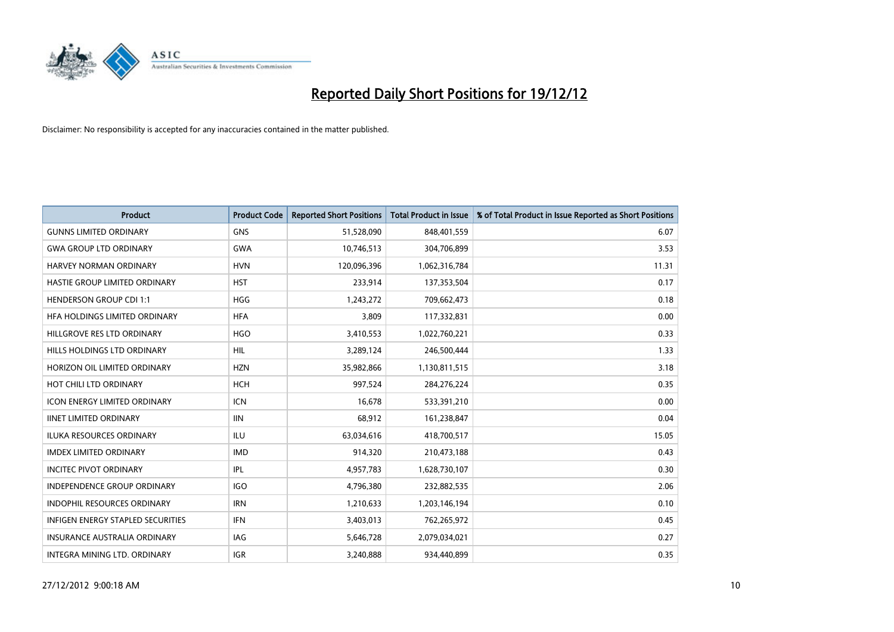

| <b>Product</b>                      | <b>Product Code</b> | <b>Reported Short Positions</b> | <b>Total Product in Issue</b> | % of Total Product in Issue Reported as Short Positions |
|-------------------------------------|---------------------|---------------------------------|-------------------------------|---------------------------------------------------------|
| <b>GUNNS LIMITED ORDINARY</b>       | <b>GNS</b>          | 51,528,090                      | 848,401,559                   | 6.07                                                    |
| <b>GWA GROUP LTD ORDINARY</b>       | <b>GWA</b>          | 10,746,513                      | 304,706,899                   | 3.53                                                    |
| HARVEY NORMAN ORDINARY              | <b>HVN</b>          | 120,096,396                     | 1,062,316,784                 | 11.31                                                   |
| HASTIE GROUP LIMITED ORDINARY       | <b>HST</b>          | 233,914                         | 137,353,504                   | 0.17                                                    |
| <b>HENDERSON GROUP CDI 1:1</b>      | <b>HGG</b>          | 1,243,272                       | 709,662,473                   | 0.18                                                    |
| HFA HOLDINGS LIMITED ORDINARY       | <b>HFA</b>          | 3,809                           | 117,332,831                   | 0.00                                                    |
| HILLGROVE RES LTD ORDINARY          | <b>HGO</b>          | 3,410,553                       | 1,022,760,221                 | 0.33                                                    |
| HILLS HOLDINGS LTD ORDINARY         | <b>HIL</b>          | 3,289,124                       | 246,500,444                   | 1.33                                                    |
| HORIZON OIL LIMITED ORDINARY        | <b>HZN</b>          | 35,982,866                      | 1,130,811,515                 | 3.18                                                    |
| HOT CHILI LTD ORDINARY              | <b>HCH</b>          | 997,524                         | 284,276,224                   | 0.35                                                    |
| <b>ICON ENERGY LIMITED ORDINARY</b> | <b>ICN</b>          | 16,678                          | 533,391,210                   | 0.00                                                    |
| <b>IINET LIMITED ORDINARY</b>       | <b>IIN</b>          | 68,912                          | 161,238,847                   | 0.04                                                    |
| <b>ILUKA RESOURCES ORDINARY</b>     | ILU                 | 63,034,616                      | 418,700,517                   | 15.05                                                   |
| <b>IMDEX LIMITED ORDINARY</b>       | <b>IMD</b>          | 914,320                         | 210,473,188                   | 0.43                                                    |
| <b>INCITEC PIVOT ORDINARY</b>       | <b>IPL</b>          | 4,957,783                       | 1,628,730,107                 | 0.30                                                    |
| <b>INDEPENDENCE GROUP ORDINARY</b>  | <b>IGO</b>          | 4,796,380                       | 232,882,535                   | 2.06                                                    |
| <b>INDOPHIL RESOURCES ORDINARY</b>  | <b>IRN</b>          | 1,210,633                       | 1,203,146,194                 | 0.10                                                    |
| INFIGEN ENERGY STAPLED SECURITIES   | IFN                 | 3,403,013                       | 762,265,972                   | 0.45                                                    |
| <b>INSURANCE AUSTRALIA ORDINARY</b> | IAG                 | 5,646,728                       | 2,079,034,021                 | 0.27                                                    |
| INTEGRA MINING LTD. ORDINARY        | <b>IGR</b>          | 3,240,888                       | 934,440,899                   | 0.35                                                    |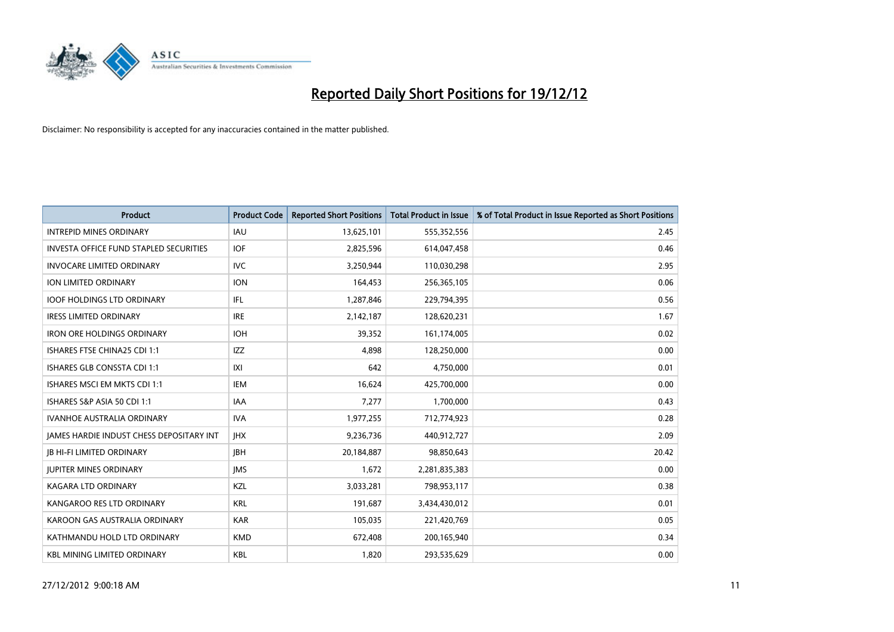

| <b>Product</b>                                  | <b>Product Code</b> | <b>Reported Short Positions</b> | <b>Total Product in Issue</b> | % of Total Product in Issue Reported as Short Positions |
|-------------------------------------------------|---------------------|---------------------------------|-------------------------------|---------------------------------------------------------|
| <b>INTREPID MINES ORDINARY</b>                  | <b>IAU</b>          | 13,625,101                      | 555,352,556                   | 2.45                                                    |
| <b>INVESTA OFFICE FUND STAPLED SECURITIES</b>   | <b>IOF</b>          | 2,825,596                       | 614,047,458                   | 0.46                                                    |
| <b>INVOCARE LIMITED ORDINARY</b>                | <b>IVC</b>          | 3,250,944                       | 110,030,298                   | 2.95                                                    |
| ION LIMITED ORDINARY                            | <b>ION</b>          | 164,453                         | 256,365,105                   | 0.06                                                    |
| <b>IOOF HOLDINGS LTD ORDINARY</b>               | <b>IFL</b>          | 1,287,846                       | 229,794,395                   | 0.56                                                    |
| <b>IRESS LIMITED ORDINARY</b>                   | <b>IRE</b>          | 2,142,187                       | 128,620,231                   | 1.67                                                    |
| <b>IRON ORE HOLDINGS ORDINARY</b>               | <b>IOH</b>          | 39,352                          | 161,174,005                   | 0.02                                                    |
| ISHARES FTSE CHINA25 CDI 1:1                    | <b>IZZ</b>          | 4,898                           | 128,250,000                   | 0.00                                                    |
| ISHARES GLB CONSSTA CDI 1:1                     | X                   | 642                             | 4,750,000                     | 0.01                                                    |
| ISHARES MSCI EM MKTS CDI 1:1                    | <b>IEM</b>          | 16,624                          | 425,700,000                   | 0.00                                                    |
| ISHARES S&P ASIA 50 CDI 1:1                     | <b>IAA</b>          | 7,277                           | 1,700,000                     | 0.43                                                    |
| <b>IVANHOE AUSTRALIA ORDINARY</b>               | <b>IVA</b>          | 1,977,255                       | 712,774,923                   | 0.28                                                    |
| <b>IAMES HARDIE INDUST CHESS DEPOSITARY INT</b> | <b>IHX</b>          | 9,236,736                       | 440,912,727                   | 2.09                                                    |
| <b>JB HI-FI LIMITED ORDINARY</b>                | <b>IBH</b>          | 20,184,887                      | 98,850,643                    | 20.42                                                   |
| <b>JUPITER MINES ORDINARY</b>                   | <b>IMS</b>          | 1,672                           | 2,281,835,383                 | 0.00                                                    |
| <b>KAGARA LTD ORDINARY</b>                      | KZL                 | 3,033,281                       | 798,953,117                   | 0.38                                                    |
| KANGAROO RES LTD ORDINARY                       | <b>KRL</b>          | 191,687                         | 3,434,430,012                 | 0.01                                                    |
| KAROON GAS AUSTRALIA ORDINARY                   | <b>KAR</b>          | 105,035                         | 221,420,769                   | 0.05                                                    |
| KATHMANDU HOLD LTD ORDINARY                     | <b>KMD</b>          | 672,408                         | 200,165,940                   | 0.34                                                    |
| <b>KBL MINING LIMITED ORDINARY</b>              | <b>KBL</b>          | 1,820                           | 293,535,629                   | 0.00                                                    |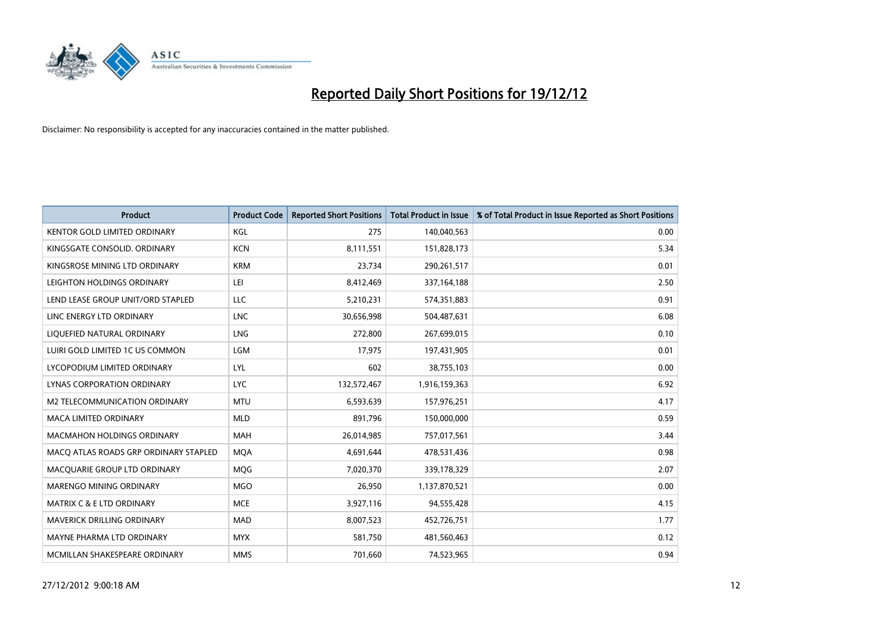

| <b>Product</b>                        | <b>Product Code</b> | <b>Reported Short Positions</b> | <b>Total Product in Issue</b> | % of Total Product in Issue Reported as Short Positions |
|---------------------------------------|---------------------|---------------------------------|-------------------------------|---------------------------------------------------------|
| <b>KENTOR GOLD LIMITED ORDINARY</b>   | KGL                 | 275                             | 140,040,563                   | 0.00                                                    |
| KINGSGATE CONSOLID. ORDINARY          | <b>KCN</b>          | 8,111,551                       | 151,828,173                   | 5.34                                                    |
| KINGSROSE MINING LTD ORDINARY         | <b>KRM</b>          | 23,734                          | 290,261,517                   | 0.01                                                    |
| LEIGHTON HOLDINGS ORDINARY            | LEI                 | 8,412,469                       | 337,164,188                   | 2.50                                                    |
| LEND LEASE GROUP UNIT/ORD STAPLED     | LLC                 | 5,210,231                       | 574,351,883                   | 0.91                                                    |
| LINC ENERGY LTD ORDINARY              | <b>LNC</b>          | 30,656,998                      | 504,487,631                   | 6.08                                                    |
| LIQUEFIED NATURAL ORDINARY            | <b>LNG</b>          | 272,800                         | 267,699,015                   | 0.10                                                    |
| LUIRI GOLD LIMITED 1C US COMMON       | LGM                 | 17,975                          | 197,431,905                   | 0.01                                                    |
| LYCOPODIUM LIMITED ORDINARY           | LYL                 | 602                             | 38,755,103                    | 0.00                                                    |
| LYNAS CORPORATION ORDINARY            | <b>LYC</b>          | 132,572,467                     | 1,916,159,363                 | 6.92                                                    |
| M2 TELECOMMUNICATION ORDINARY         | <b>MTU</b>          | 6,593,639                       | 157,976,251                   | 4.17                                                    |
| <b>MACA LIMITED ORDINARY</b>          | <b>MLD</b>          | 891,796                         | 150,000,000                   | 0.59                                                    |
| MACMAHON HOLDINGS ORDINARY            | MAH                 | 26,014,985                      | 757,017,561                   | 3.44                                                    |
| MACQ ATLAS ROADS GRP ORDINARY STAPLED | <b>MOA</b>          | 4,691,644                       | 478,531,436                   | 0.98                                                    |
| MACQUARIE GROUP LTD ORDINARY          | <b>MOG</b>          | 7,020,370                       | 339,178,329                   | 2.07                                                    |
| MARENGO MINING ORDINARY               | <b>MGO</b>          | 26,950                          | 1,137,870,521                 | 0.00                                                    |
| MATRIX C & E LTD ORDINARY             | <b>MCE</b>          | 3,927,116                       | 94,555,428                    | 4.15                                                    |
| MAVERICK DRILLING ORDINARY            | <b>MAD</b>          | 8,007,523                       | 452,726,751                   | 1.77                                                    |
| MAYNE PHARMA LTD ORDINARY             | <b>MYX</b>          | 581,750                         | 481,560,463                   | 0.12                                                    |
| MCMILLAN SHAKESPEARE ORDINARY         | <b>MMS</b>          | 701,660                         | 74,523,965                    | 0.94                                                    |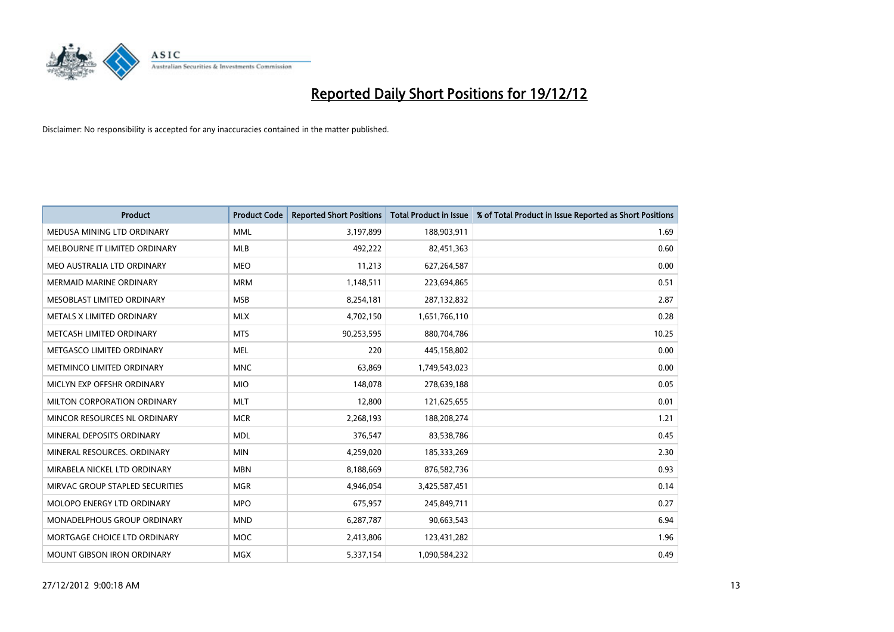

| <b>Product</b>                  | <b>Product Code</b> | <b>Reported Short Positions</b> | <b>Total Product in Issue</b> | % of Total Product in Issue Reported as Short Positions |
|---------------------------------|---------------------|---------------------------------|-------------------------------|---------------------------------------------------------|
| MEDUSA MINING LTD ORDINARY      | <b>MML</b>          | 3,197,899                       | 188,903,911                   | 1.69                                                    |
| MELBOURNE IT LIMITED ORDINARY   | <b>MLB</b>          | 492,222                         | 82,451,363                    | 0.60                                                    |
| MEO AUSTRALIA LTD ORDINARY      | <b>MEO</b>          | 11,213                          | 627,264,587                   | 0.00                                                    |
| MERMAID MARINE ORDINARY         | <b>MRM</b>          | 1,148,511                       | 223,694,865                   | 0.51                                                    |
| MESOBLAST LIMITED ORDINARY      | <b>MSB</b>          | 8,254,181                       | 287,132,832                   | 2.87                                                    |
| METALS X LIMITED ORDINARY       | <b>MLX</b>          | 4,702,150                       | 1,651,766,110                 | 0.28                                                    |
| METCASH LIMITED ORDINARY        | <b>MTS</b>          | 90,253,595                      | 880,704,786                   | 10.25                                                   |
| METGASCO LIMITED ORDINARY       | <b>MEL</b>          | 220                             | 445,158,802                   | 0.00                                                    |
| METMINCO LIMITED ORDINARY       | <b>MNC</b>          | 63,869                          | 1,749,543,023                 | 0.00                                                    |
| MICLYN EXP OFFSHR ORDINARY      | <b>MIO</b>          | 148,078                         | 278,639,188                   | 0.05                                                    |
| MILTON CORPORATION ORDINARY     | <b>MLT</b>          | 12,800                          | 121,625,655                   | 0.01                                                    |
| MINCOR RESOURCES NL ORDINARY    | <b>MCR</b>          | 2,268,193                       | 188,208,274                   | 1.21                                                    |
| MINERAL DEPOSITS ORDINARY       | <b>MDL</b>          | 376,547                         | 83,538,786                    | 0.45                                                    |
| MINERAL RESOURCES, ORDINARY     | <b>MIN</b>          | 4,259,020                       | 185,333,269                   | 2.30                                                    |
| MIRABELA NICKEL LTD ORDINARY    | <b>MBN</b>          | 8,188,669                       | 876,582,736                   | 0.93                                                    |
| MIRVAC GROUP STAPLED SECURITIES | <b>MGR</b>          | 4,946,054                       | 3,425,587,451                 | 0.14                                                    |
| MOLOPO ENERGY LTD ORDINARY      | <b>MPO</b>          | 675,957                         | 245,849,711                   | 0.27                                                    |
| MONADELPHOUS GROUP ORDINARY     | <b>MND</b>          | 6,287,787                       | 90,663,543                    | 6.94                                                    |
| MORTGAGE CHOICE LTD ORDINARY    | MOC                 | 2,413,806                       | 123,431,282                   | 1.96                                                    |
| MOUNT GIBSON IRON ORDINARY      | <b>MGX</b>          | 5,337,154                       | 1,090,584,232                 | 0.49                                                    |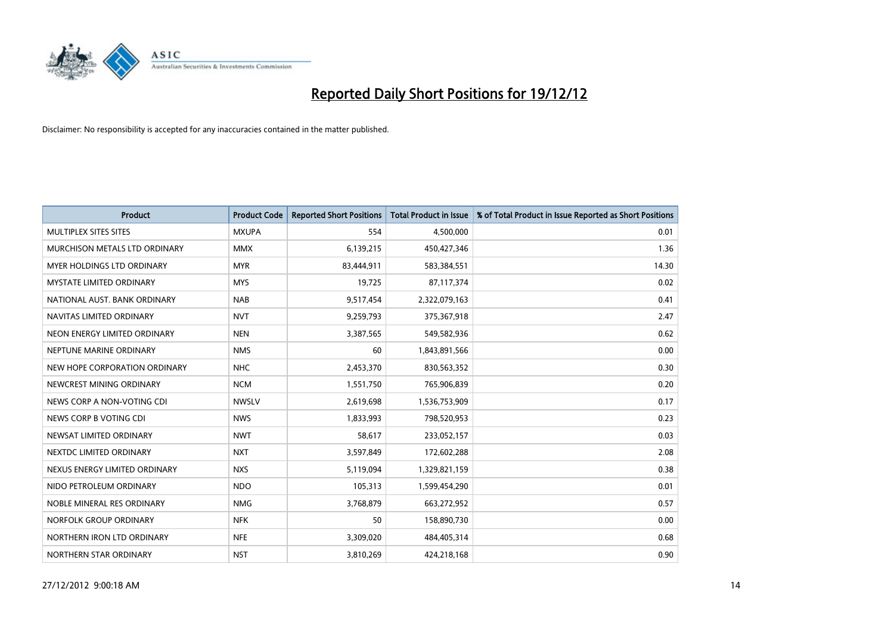

| <b>Product</b>                | <b>Product Code</b> | <b>Reported Short Positions</b> | <b>Total Product in Issue</b> | % of Total Product in Issue Reported as Short Positions |
|-------------------------------|---------------------|---------------------------------|-------------------------------|---------------------------------------------------------|
| <b>MULTIPLEX SITES SITES</b>  | <b>MXUPA</b>        | 554                             | 4,500,000                     | 0.01                                                    |
| MURCHISON METALS LTD ORDINARY | <b>MMX</b>          | 6,139,215                       | 450,427,346                   | 1.36                                                    |
| MYER HOLDINGS LTD ORDINARY    | <b>MYR</b>          | 83,444,911                      | 583,384,551                   | 14.30                                                   |
| MYSTATE LIMITED ORDINARY      | <b>MYS</b>          | 19,725                          | 87,117,374                    | 0.02                                                    |
| NATIONAL AUST, BANK ORDINARY  | <b>NAB</b>          | 9,517,454                       | 2,322,079,163                 | 0.41                                                    |
| NAVITAS LIMITED ORDINARY      | <b>NVT</b>          | 9,259,793                       | 375,367,918                   | 2.47                                                    |
| NEON ENERGY LIMITED ORDINARY  | <b>NEN</b>          | 3,387,565                       | 549,582,936                   | 0.62                                                    |
| NEPTUNE MARINE ORDINARY       | <b>NMS</b>          | 60                              | 1,843,891,566                 | 0.00                                                    |
| NEW HOPE CORPORATION ORDINARY | <b>NHC</b>          | 2,453,370                       | 830,563,352                   | 0.30                                                    |
| NEWCREST MINING ORDINARY      | <b>NCM</b>          | 1,551,750                       | 765,906,839                   | 0.20                                                    |
| NEWS CORP A NON-VOTING CDI    | <b>NWSLV</b>        | 2,619,698                       | 1,536,753,909                 | 0.17                                                    |
| NEWS CORP B VOTING CDI        | <b>NWS</b>          | 1,833,993                       | 798,520,953                   | 0.23                                                    |
| NEWSAT LIMITED ORDINARY       | <b>NWT</b>          | 58,617                          | 233,052,157                   | 0.03                                                    |
| NEXTDC LIMITED ORDINARY       | <b>NXT</b>          | 3,597,849                       | 172,602,288                   | 2.08                                                    |
| NEXUS ENERGY LIMITED ORDINARY | <b>NXS</b>          | 5,119,094                       | 1,329,821,159                 | 0.38                                                    |
| NIDO PETROLEUM ORDINARY       | <b>NDO</b>          | 105,313                         | 1,599,454,290                 | 0.01                                                    |
| NOBLE MINERAL RES ORDINARY    | <b>NMG</b>          | 3,768,879                       | 663,272,952                   | 0.57                                                    |
| NORFOLK GROUP ORDINARY        | <b>NFK</b>          | 50                              | 158,890,730                   | 0.00                                                    |
| NORTHERN IRON LTD ORDINARY    | <b>NFE</b>          | 3,309,020                       | 484,405,314                   | 0.68                                                    |
| NORTHERN STAR ORDINARY        | <b>NST</b>          | 3,810,269                       | 424,218,168                   | 0.90                                                    |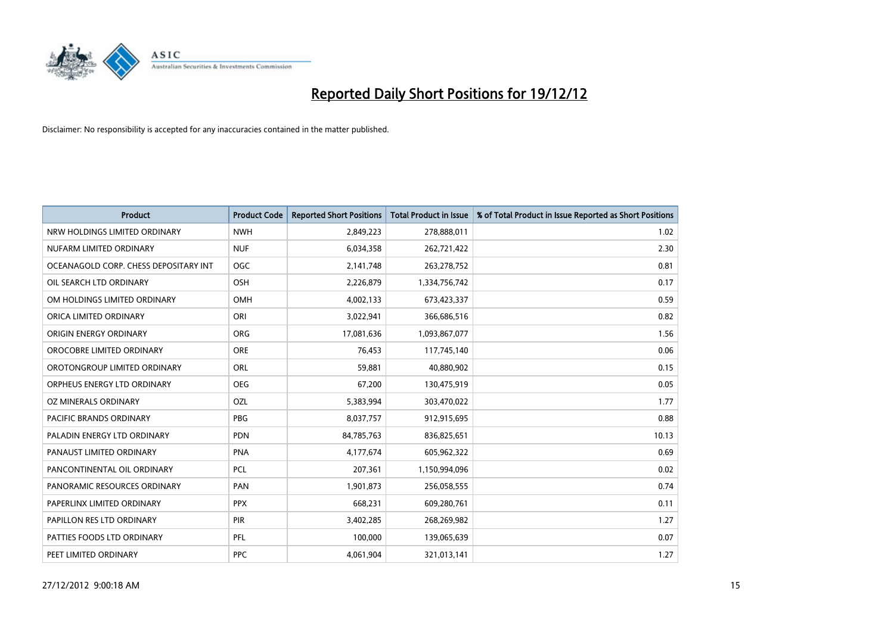

| <b>Product</b>                        | <b>Product Code</b> | <b>Reported Short Positions</b> | <b>Total Product in Issue</b> | % of Total Product in Issue Reported as Short Positions |
|---------------------------------------|---------------------|---------------------------------|-------------------------------|---------------------------------------------------------|
| NRW HOLDINGS LIMITED ORDINARY         | <b>NWH</b>          | 2,849,223                       | 278,888,011                   | 1.02                                                    |
| NUFARM LIMITED ORDINARY               | <b>NUF</b>          | 6,034,358                       | 262,721,422                   | 2.30                                                    |
| OCEANAGOLD CORP. CHESS DEPOSITARY INT | <b>OGC</b>          | 2,141,748                       | 263,278,752                   | 0.81                                                    |
| OIL SEARCH LTD ORDINARY               | OSH                 | 2,226,879                       | 1,334,756,742                 | 0.17                                                    |
| OM HOLDINGS LIMITED ORDINARY          | OMH                 | 4,002,133                       | 673,423,337                   | 0.59                                                    |
| ORICA LIMITED ORDINARY                | ORI                 | 3,022,941                       | 366,686,516                   | 0.82                                                    |
| ORIGIN ENERGY ORDINARY                | <b>ORG</b>          | 17,081,636                      | 1,093,867,077                 | 1.56                                                    |
| OROCOBRE LIMITED ORDINARY             | <b>ORE</b>          | 76.453                          | 117,745,140                   | 0.06                                                    |
| OROTONGROUP LIMITED ORDINARY          | ORL                 | 59,881                          | 40,880,902                    | 0.15                                                    |
| ORPHEUS ENERGY LTD ORDINARY           | <b>OEG</b>          | 67,200                          | 130,475,919                   | 0.05                                                    |
| OZ MINERALS ORDINARY                  | OZL                 | 5,383,994                       | 303,470,022                   | 1.77                                                    |
| PACIFIC BRANDS ORDINARY               | <b>PBG</b>          | 8,037,757                       | 912,915,695                   | 0.88                                                    |
| PALADIN ENERGY LTD ORDINARY           | <b>PDN</b>          | 84,785,763                      | 836,825,651                   | 10.13                                                   |
| PANAUST LIMITED ORDINARY              | <b>PNA</b>          | 4,177,674                       | 605,962,322                   | 0.69                                                    |
| PANCONTINENTAL OIL ORDINARY           | <b>PCL</b>          | 207,361                         | 1,150,994,096                 | 0.02                                                    |
| PANORAMIC RESOURCES ORDINARY          | PAN                 | 1,901,873                       | 256,058,555                   | 0.74                                                    |
| PAPERLINX LIMITED ORDINARY            | <b>PPX</b>          | 668,231                         | 609,280,761                   | 0.11                                                    |
| PAPILLON RES LTD ORDINARY             | PIR                 | 3,402,285                       | 268,269,982                   | 1.27                                                    |
| PATTIES FOODS LTD ORDINARY            | PFL                 | 100,000                         | 139,065,639                   | 0.07                                                    |
| PEET LIMITED ORDINARY                 | <b>PPC</b>          | 4,061,904                       | 321,013,141                   | 1.27                                                    |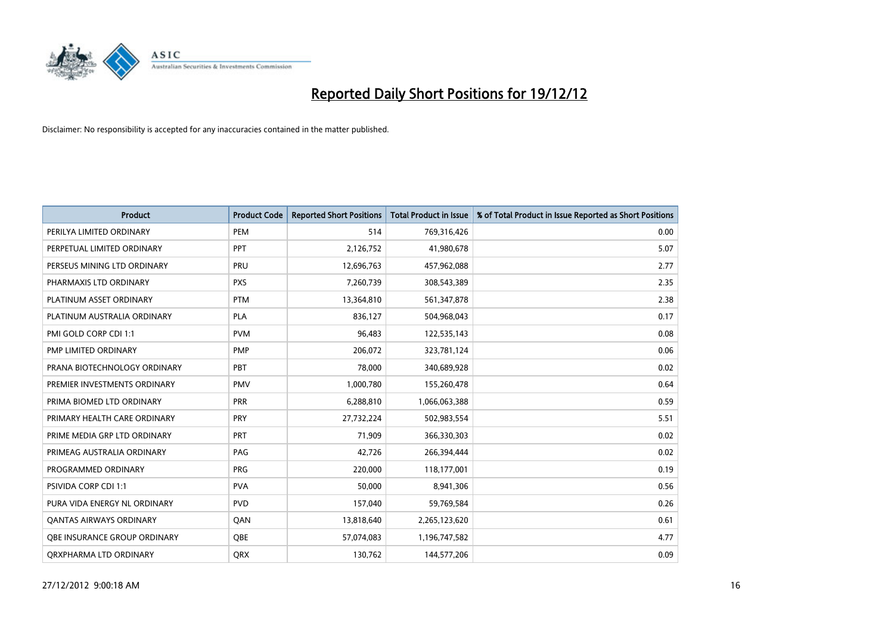

| <b>Product</b>                 | <b>Product Code</b> | <b>Reported Short Positions</b> | <b>Total Product in Issue</b> | % of Total Product in Issue Reported as Short Positions |
|--------------------------------|---------------------|---------------------------------|-------------------------------|---------------------------------------------------------|
| PERILYA LIMITED ORDINARY       | PEM                 | 514                             | 769,316,426                   | 0.00                                                    |
| PERPETUAL LIMITED ORDINARY     | PPT                 | 2,126,752                       | 41,980,678                    | 5.07                                                    |
| PERSEUS MINING LTD ORDINARY    | PRU                 | 12,696,763                      | 457,962,088                   | 2.77                                                    |
| PHARMAXIS LTD ORDINARY         | <b>PXS</b>          | 7,260,739                       | 308,543,389                   | 2.35                                                    |
| PLATINUM ASSET ORDINARY        | <b>PTM</b>          | 13,364,810                      | 561,347,878                   | 2.38                                                    |
| PLATINUM AUSTRALIA ORDINARY    | <b>PLA</b>          | 836,127                         | 504,968,043                   | 0.17                                                    |
| PMI GOLD CORP CDI 1:1          | <b>PVM</b>          | 96,483                          | 122,535,143                   | 0.08                                                    |
| PMP LIMITED ORDINARY           | <b>PMP</b>          | 206,072                         | 323,781,124                   | 0.06                                                    |
| PRANA BIOTECHNOLOGY ORDINARY   | PBT                 | 78,000                          | 340,689,928                   | 0.02                                                    |
| PREMIER INVESTMENTS ORDINARY   | <b>PMV</b>          | 1,000,780                       | 155,260,478                   | 0.64                                                    |
| PRIMA BIOMED LTD ORDINARY      | PRR                 | 6,288,810                       | 1,066,063,388                 | 0.59                                                    |
| PRIMARY HEALTH CARE ORDINARY   | <b>PRY</b>          | 27,732,224                      | 502,983,554                   | 5.51                                                    |
| PRIME MEDIA GRP LTD ORDINARY   | PRT                 | 71,909                          | 366,330,303                   | 0.02                                                    |
| PRIMEAG AUSTRALIA ORDINARY     | PAG                 | 42,726                          | 266,394,444                   | 0.02                                                    |
| PROGRAMMED ORDINARY            | <b>PRG</b>          | 220,000                         | 118,177,001                   | 0.19                                                    |
| <b>PSIVIDA CORP CDI 1:1</b>    | <b>PVA</b>          | 50,000                          | 8,941,306                     | 0.56                                                    |
| PURA VIDA ENERGY NL ORDINARY   | <b>PVD</b>          | 157,040                         | 59,769,584                    | 0.26                                                    |
| <b>QANTAS AIRWAYS ORDINARY</b> | QAN                 | 13,818,640                      | 2,265,123,620                 | 0.61                                                    |
| OBE INSURANCE GROUP ORDINARY   | <b>OBE</b>          | 57,074,083                      | 1,196,747,582                 | 4.77                                                    |
| ORXPHARMA LTD ORDINARY         | <b>QRX</b>          | 130,762                         | 144,577,206                   | 0.09                                                    |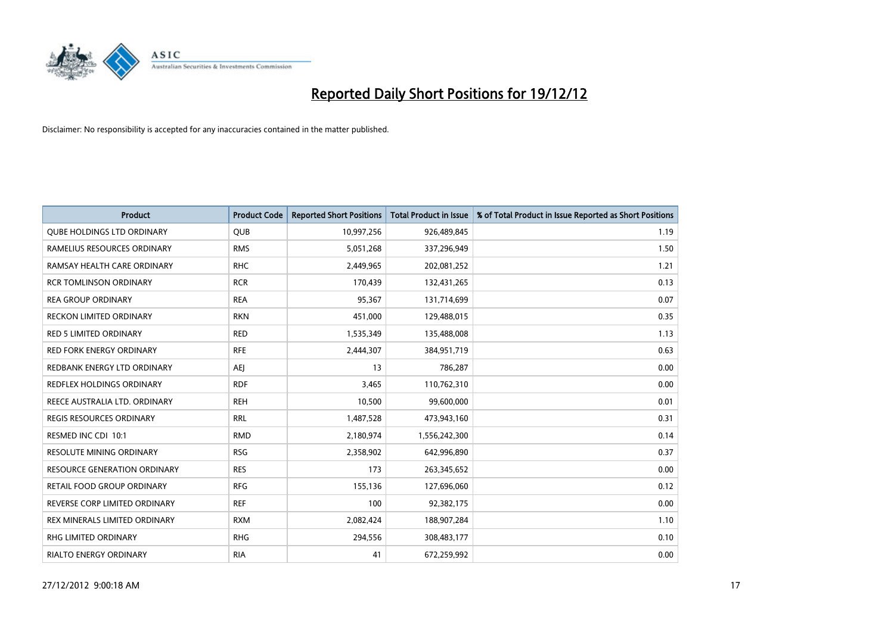

| <b>Product</b>                      | <b>Product Code</b> | <b>Reported Short Positions</b> | <b>Total Product in Issue</b> | % of Total Product in Issue Reported as Short Positions |
|-------------------------------------|---------------------|---------------------------------|-------------------------------|---------------------------------------------------------|
| <b>OUBE HOLDINGS LTD ORDINARY</b>   | <b>QUB</b>          | 10,997,256                      | 926,489,845                   | 1.19                                                    |
| RAMELIUS RESOURCES ORDINARY         | <b>RMS</b>          | 5,051,268                       | 337,296,949                   | 1.50                                                    |
| RAMSAY HEALTH CARE ORDINARY         | <b>RHC</b>          | 2,449,965                       | 202,081,252                   | 1.21                                                    |
| <b>RCR TOMLINSON ORDINARY</b>       | <b>RCR</b>          | 170,439                         | 132,431,265                   | 0.13                                                    |
| <b>REA GROUP ORDINARY</b>           | <b>REA</b>          | 95,367                          | 131,714,699                   | 0.07                                                    |
| <b>RECKON LIMITED ORDINARY</b>      | <b>RKN</b>          | 451,000                         | 129,488,015                   | 0.35                                                    |
| RED 5 LIMITED ORDINARY              | <b>RED</b>          | 1,535,349                       | 135,488,008                   | 1.13                                                    |
| <b>RED FORK ENERGY ORDINARY</b>     | <b>RFE</b>          | 2,444,307                       | 384,951,719                   | 0.63                                                    |
| REDBANK ENERGY LTD ORDINARY         | AEJ                 | 13                              | 786,287                       | 0.00                                                    |
| <b>REDFLEX HOLDINGS ORDINARY</b>    | <b>RDF</b>          | 3,465                           | 110,762,310                   | 0.00                                                    |
| REECE AUSTRALIA LTD. ORDINARY       | <b>REH</b>          | 10,500                          | 99,600,000                    | 0.01                                                    |
| REGIS RESOURCES ORDINARY            | <b>RRL</b>          | 1,487,528                       | 473,943,160                   | 0.31                                                    |
| RESMED INC CDI 10:1                 | <b>RMD</b>          | 2,180,974                       | 1,556,242,300                 | 0.14                                                    |
| <b>RESOLUTE MINING ORDINARY</b>     | <b>RSG</b>          | 2,358,902                       | 642,996,890                   | 0.37                                                    |
| <b>RESOURCE GENERATION ORDINARY</b> | <b>RES</b>          | 173                             | 263,345,652                   | 0.00                                                    |
| RETAIL FOOD GROUP ORDINARY          | <b>RFG</b>          | 155,136                         | 127,696,060                   | 0.12                                                    |
| REVERSE CORP LIMITED ORDINARY       | <b>REF</b>          | 100                             | 92,382,175                    | 0.00                                                    |
| REX MINERALS LIMITED ORDINARY       | <b>RXM</b>          | 2,082,424                       | 188,907,284                   | 1.10                                                    |
| RHG LIMITED ORDINARY                | <b>RHG</b>          | 294,556                         | 308,483,177                   | 0.10                                                    |
| RIALTO ENERGY ORDINARY              | <b>RIA</b>          | 41                              | 672,259,992                   | 0.00                                                    |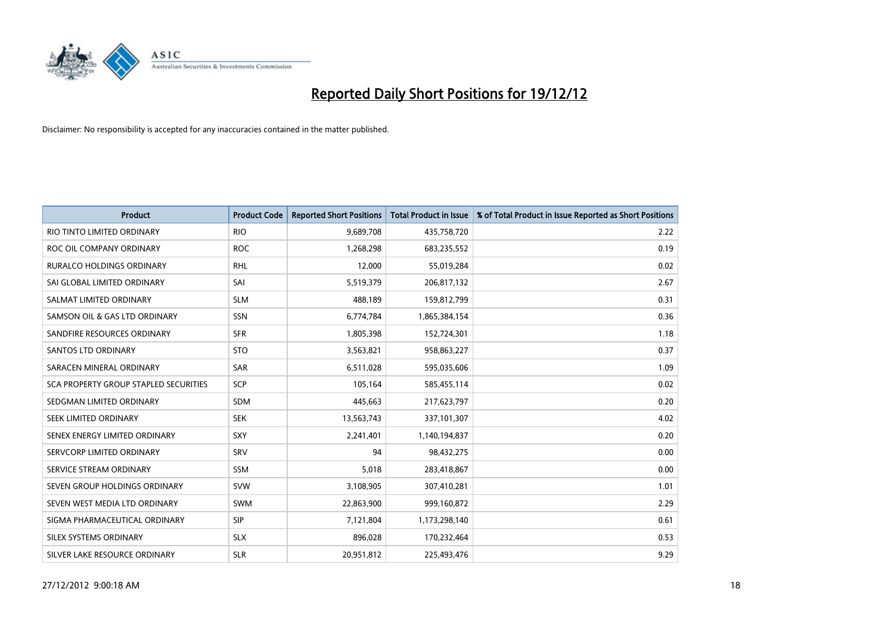

| <b>Product</b>                        | <b>Product Code</b> | <b>Reported Short Positions</b> | <b>Total Product in Issue</b> | % of Total Product in Issue Reported as Short Positions |
|---------------------------------------|---------------------|---------------------------------|-------------------------------|---------------------------------------------------------|
| RIO TINTO LIMITED ORDINARY            | <b>RIO</b>          | 9,689,708                       | 435,758,720                   | 2.22                                                    |
| ROC OIL COMPANY ORDINARY              | <b>ROC</b>          | 1,268,298                       | 683,235,552                   | 0.19                                                    |
| <b>RURALCO HOLDINGS ORDINARY</b>      | <b>RHL</b>          | 12,000                          | 55,019,284                    | 0.02                                                    |
| SAI GLOBAL LIMITED ORDINARY           | SAI                 | 5,519,379                       | 206,817,132                   | 2.67                                                    |
| SALMAT LIMITED ORDINARY               | <b>SLM</b>          | 488,189                         | 159,812,799                   | 0.31                                                    |
| SAMSON OIL & GAS LTD ORDINARY         | <b>SSN</b>          | 6,774,784                       | 1,865,384,154                 | 0.36                                                    |
| SANDFIRE RESOURCES ORDINARY           | <b>SFR</b>          | 1,805,398                       | 152,724,301                   | 1.18                                                    |
| <b>SANTOS LTD ORDINARY</b>            | <b>STO</b>          | 3,563,821                       | 958,863,227                   | 0.37                                                    |
| SARACEN MINERAL ORDINARY              | SAR                 | 6,511,028                       | 595,035,606                   | 1.09                                                    |
| SCA PROPERTY GROUP STAPLED SECURITIES | SCP                 | 105,164                         | 585,455,114                   | 0.02                                                    |
| SEDGMAN LIMITED ORDINARY              | <b>SDM</b>          | 445,663                         | 217,623,797                   | 0.20                                                    |
| SEEK LIMITED ORDINARY                 | <b>SEK</b>          | 13,563,743                      | 337,101,307                   | 4.02                                                    |
| SENEX ENERGY LIMITED ORDINARY         | <b>SXY</b>          | 2,241,401                       | 1,140,194,837                 | 0.20                                                    |
| SERVCORP LIMITED ORDINARY             | SRV                 | 94                              | 98,432,275                    | 0.00                                                    |
| SERVICE STREAM ORDINARY               | SSM                 | 5,018                           | 283,418,867                   | 0.00                                                    |
| SEVEN GROUP HOLDINGS ORDINARY         | <b>SVW</b>          | 3,108,905                       | 307,410,281                   | 1.01                                                    |
| SEVEN WEST MEDIA LTD ORDINARY         | <b>SWM</b>          | 22,863,900                      | 999,160,872                   | 2.29                                                    |
| SIGMA PHARMACEUTICAL ORDINARY         | <b>SIP</b>          | 7,121,804                       | 1,173,298,140                 | 0.61                                                    |
| SILEX SYSTEMS ORDINARY                | <b>SLX</b>          | 896,028                         | 170,232,464                   | 0.53                                                    |
| SILVER LAKE RESOURCE ORDINARY         | <b>SLR</b>          | 20,951,812                      | 225,493,476                   | 9.29                                                    |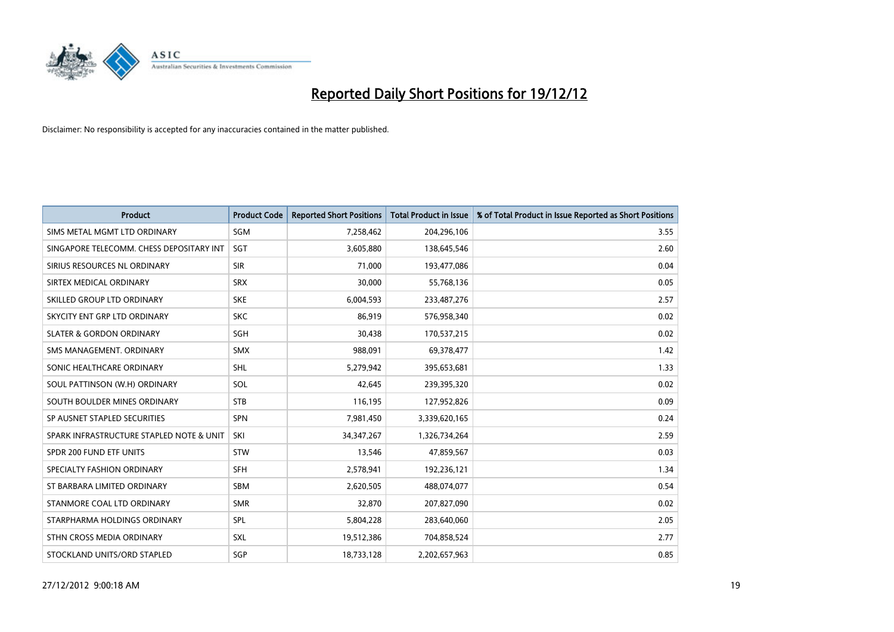

| <b>Product</b>                           | <b>Product Code</b> | <b>Reported Short Positions</b> | <b>Total Product in Issue</b> | % of Total Product in Issue Reported as Short Positions |
|------------------------------------------|---------------------|---------------------------------|-------------------------------|---------------------------------------------------------|
| SIMS METAL MGMT LTD ORDINARY             | SGM                 | 7,258,462                       | 204,296,106                   | 3.55                                                    |
| SINGAPORE TELECOMM. CHESS DEPOSITARY INT | <b>SGT</b>          | 3,605,880                       | 138,645,546                   | 2.60                                                    |
| SIRIUS RESOURCES NL ORDINARY             | <b>SIR</b>          | 71,000                          | 193,477,086                   | 0.04                                                    |
| SIRTEX MEDICAL ORDINARY                  | <b>SRX</b>          | 30,000                          | 55,768,136                    | 0.05                                                    |
| SKILLED GROUP LTD ORDINARY               | <b>SKE</b>          | 6,004,593                       | 233,487,276                   | 2.57                                                    |
| SKYCITY ENT GRP LTD ORDINARY             | <b>SKC</b>          | 86,919                          | 576,958,340                   | 0.02                                                    |
| <b>SLATER &amp; GORDON ORDINARY</b>      | <b>SGH</b>          | 30,438                          | 170,537,215                   | 0.02                                                    |
| SMS MANAGEMENT. ORDINARY                 | <b>SMX</b>          | 988,091                         | 69,378,477                    | 1.42                                                    |
| SONIC HEALTHCARE ORDINARY                | <b>SHL</b>          | 5,279,942                       | 395,653,681                   | 1.33                                                    |
| SOUL PATTINSON (W.H) ORDINARY            | SOL                 | 42,645                          | 239,395,320                   | 0.02                                                    |
| SOUTH BOULDER MINES ORDINARY             | <b>STB</b>          | 116,195                         | 127,952,826                   | 0.09                                                    |
| SP AUSNET STAPLED SECURITIES             | <b>SPN</b>          | 7,981,450                       | 3,339,620,165                 | 0.24                                                    |
| SPARK INFRASTRUCTURE STAPLED NOTE & UNIT | SKI                 | 34, 347, 267                    | 1,326,734,264                 | 2.59                                                    |
| SPDR 200 FUND ETF UNITS                  | <b>STW</b>          | 13,546                          | 47,859,567                    | 0.03                                                    |
| SPECIALTY FASHION ORDINARY               | <b>SFH</b>          | 2,578,941                       | 192,236,121                   | 1.34                                                    |
| ST BARBARA LIMITED ORDINARY              | <b>SBM</b>          | 2,620,505                       | 488,074,077                   | 0.54                                                    |
| STANMORE COAL LTD ORDINARY               | <b>SMR</b>          | 32,870                          | 207,827,090                   | 0.02                                                    |
| STARPHARMA HOLDINGS ORDINARY             | SPL                 | 5,804,228                       | 283,640,060                   | 2.05                                                    |
| STHN CROSS MEDIA ORDINARY                | <b>SXL</b>          | 19,512,386                      | 704,858,524                   | 2.77                                                    |
| STOCKLAND UNITS/ORD STAPLED              | <b>SGP</b>          | 18,733,128                      | 2,202,657,963                 | 0.85                                                    |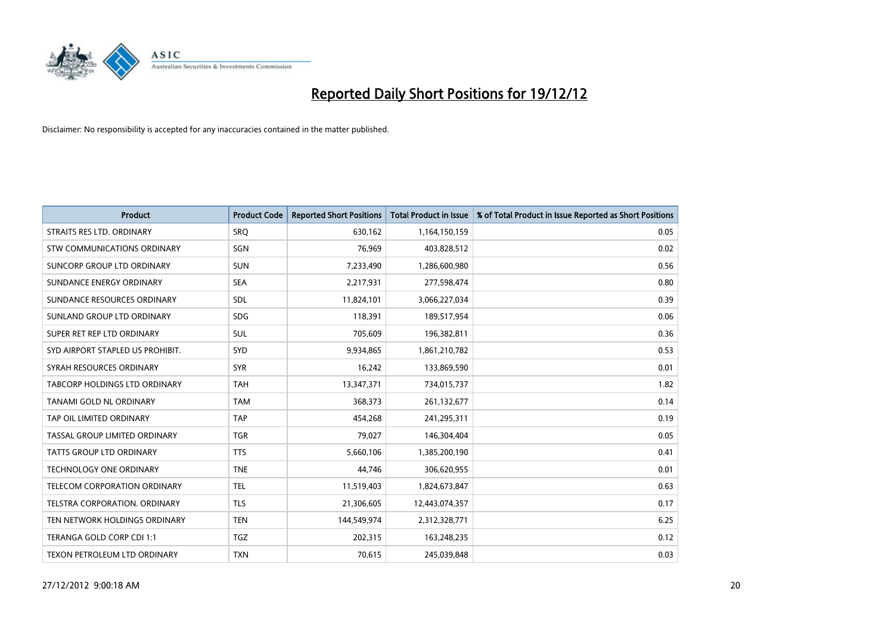

| <b>Product</b>                       | <b>Product Code</b> | <b>Reported Short Positions</b> | <b>Total Product in Issue</b> | % of Total Product in Issue Reported as Short Positions |
|--------------------------------------|---------------------|---------------------------------|-------------------------------|---------------------------------------------------------|
| STRAITS RES LTD. ORDINARY            | SRQ                 | 630,162                         | 1,164,150,159                 | 0.05                                                    |
| STW COMMUNICATIONS ORDINARY          | SGN                 | 76,969                          | 403,828,512                   | 0.02                                                    |
| SUNCORP GROUP LTD ORDINARY           | <b>SUN</b>          | 7,233,490                       | 1,286,600,980                 | 0.56                                                    |
| SUNDANCE ENERGY ORDINARY             | <b>SEA</b>          | 2,217,931                       | 277,598,474                   | 0.80                                                    |
| SUNDANCE RESOURCES ORDINARY          | <b>SDL</b>          | 11,824,101                      | 3,066,227,034                 | 0.39                                                    |
| SUNLAND GROUP LTD ORDINARY           | <b>SDG</b>          | 118,391                         | 189,517,954                   | 0.06                                                    |
| SUPER RET REP LTD ORDINARY           | <b>SUL</b>          | 705,609                         | 196,382,811                   | 0.36                                                    |
| SYD AIRPORT STAPLED US PROHIBIT.     | <b>SYD</b>          | 9,934,865                       | 1,861,210,782                 | 0.53                                                    |
| SYRAH RESOURCES ORDINARY             | <b>SYR</b>          | 16,242                          | 133,869,590                   | 0.01                                                    |
| <b>TABCORP HOLDINGS LTD ORDINARY</b> | <b>TAH</b>          | 13,347,371                      | 734,015,737                   | 1.82                                                    |
| TANAMI GOLD NL ORDINARY              | <b>TAM</b>          | 368,373                         | 261,132,677                   | 0.14                                                    |
| TAP OIL LIMITED ORDINARY             | <b>TAP</b>          | 454,268                         | 241,295,311                   | 0.19                                                    |
| TASSAL GROUP LIMITED ORDINARY        | <b>TGR</b>          | 79,027                          | 146,304,404                   | 0.05                                                    |
| <b>TATTS GROUP LTD ORDINARY</b>      | <b>TTS</b>          | 5,660,106                       | 1,385,200,190                 | 0.41                                                    |
| <b>TECHNOLOGY ONE ORDINARY</b>       | <b>TNE</b>          | 44,746                          | 306,620,955                   | 0.01                                                    |
| TELECOM CORPORATION ORDINARY         | <b>TEL</b>          | 11,519,403                      | 1,824,673,847                 | 0.63                                                    |
| TELSTRA CORPORATION. ORDINARY        | <b>TLS</b>          | 21,306,605                      | 12,443,074,357                | 0.17                                                    |
| TEN NETWORK HOLDINGS ORDINARY        | <b>TEN</b>          | 144,549,974                     | 2,312,328,771                 | 6.25                                                    |
| TERANGA GOLD CORP CDI 1:1            | <b>TGZ</b>          | 202,315                         | 163,248,235                   | 0.12                                                    |
| TEXON PETROLEUM LTD ORDINARY         | <b>TXN</b>          | 70,615                          | 245,039,848                   | 0.03                                                    |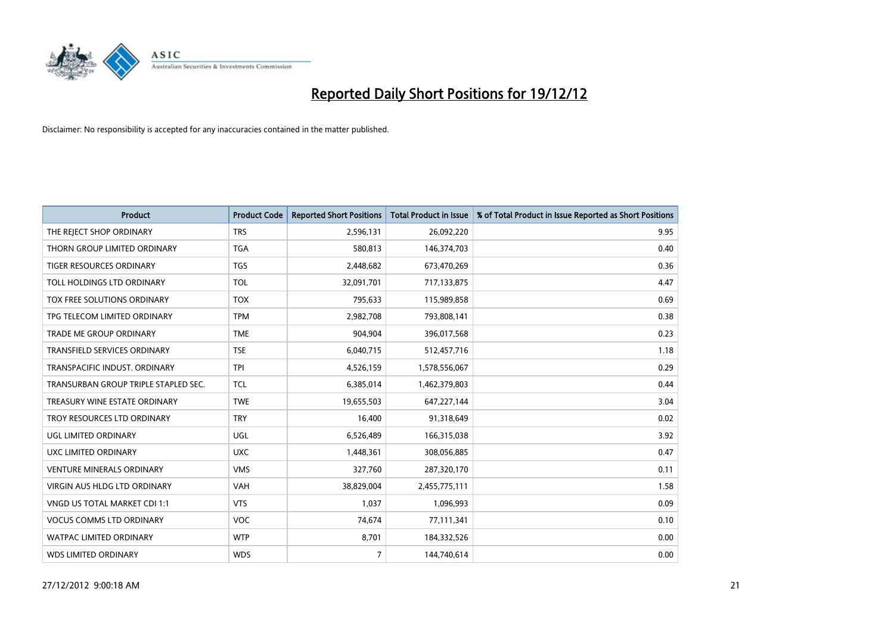

| <b>Product</b>                       | <b>Product Code</b> | <b>Reported Short Positions</b> | <b>Total Product in Issue</b> | % of Total Product in Issue Reported as Short Positions |
|--------------------------------------|---------------------|---------------------------------|-------------------------------|---------------------------------------------------------|
| THE REJECT SHOP ORDINARY             | <b>TRS</b>          | 2,596,131                       | 26,092,220                    | 9.95                                                    |
| THORN GROUP LIMITED ORDINARY         | <b>TGA</b>          | 580,813                         | 146,374,703                   | 0.40                                                    |
| <b>TIGER RESOURCES ORDINARY</b>      | <b>TGS</b>          | 2,448,682                       | 673,470,269                   | 0.36                                                    |
| TOLL HOLDINGS LTD ORDINARY           | <b>TOL</b>          | 32,091,701                      | 717,133,875                   | 4.47                                                    |
| <b>TOX FREE SOLUTIONS ORDINARY</b>   | <b>TOX</b>          | 795,633                         | 115,989,858                   | 0.69                                                    |
| TPG TELECOM LIMITED ORDINARY         | <b>TPM</b>          | 2,982,708                       | 793,808,141                   | 0.38                                                    |
| TRADE ME GROUP ORDINARY              | <b>TME</b>          | 904,904                         | 396,017,568                   | 0.23                                                    |
| <b>TRANSFIELD SERVICES ORDINARY</b>  | <b>TSE</b>          | 6,040,715                       | 512,457,716                   | 1.18                                                    |
| TRANSPACIFIC INDUST, ORDINARY        | <b>TPI</b>          | 4,526,159                       | 1,578,556,067                 | 0.29                                                    |
| TRANSURBAN GROUP TRIPLE STAPLED SEC. | <b>TCL</b>          | 6,385,014                       | 1,462,379,803                 | 0.44                                                    |
| TREASURY WINE ESTATE ORDINARY        | <b>TWE</b>          | 19,655,503                      | 647,227,144                   | 3.04                                                    |
| TROY RESOURCES LTD ORDINARY          | <b>TRY</b>          | 16,400                          | 91,318,649                    | 0.02                                                    |
| UGL LIMITED ORDINARY                 | UGL                 | 6,526,489                       | 166,315,038                   | 3.92                                                    |
| <b>UXC LIMITED ORDINARY</b>          | <b>UXC</b>          | 1,448,361                       | 308,056,885                   | 0.47                                                    |
| <b>VENTURE MINERALS ORDINARY</b>     | <b>VMS</b>          | 327,760                         | 287,320,170                   | 0.11                                                    |
| VIRGIN AUS HLDG LTD ORDINARY         | VAH                 | 38,829,004                      | 2,455,775,111                 | 1.58                                                    |
| VNGD US TOTAL MARKET CDI 1:1         | <b>VTS</b>          | 1,037                           | 1,096,993                     | 0.09                                                    |
| <b>VOCUS COMMS LTD ORDINARY</b>      | <b>VOC</b>          | 74,674                          | 77,111,341                    | 0.10                                                    |
| <b>WATPAC LIMITED ORDINARY</b>       | <b>WTP</b>          | 8,701                           | 184,332,526                   | 0.00                                                    |
| <b>WDS LIMITED ORDINARY</b>          | <b>WDS</b>          | $\overline{7}$                  | 144,740,614                   | 0.00                                                    |